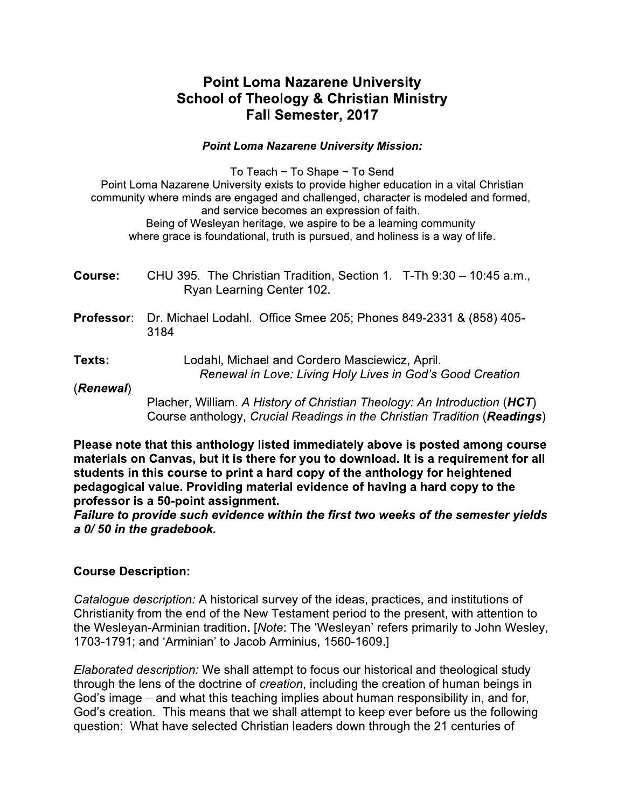# Point Loma Nazarene University School of Theology & Christian Ministry Fall Semester, 2017

**Point Loma Nazarene University<br>
School of Theology & Christian Minis<br>
Fall Semester, 2017<br>
Point Loma Nazarene University Mission:<br>
To Teach ~ To Shape ~ To Send<br>
It Loma Nazarene University exists to provide higher educa** To Teach  $\sim$  To Shape  $\sim$  To Send Point Loma Nazarene University exists to provide higher education in a vital Christian community where minds are engaged and challenged, character is modeled and formed, and service becomes an expression of faith. Being of Wesleyan heritage, we aspire to be a learning community where grace is foundational, truth is pursued, and holiness is a way of life.

| <b>Course:</b>    | CHU 395. The Christian Tradition, Section 1. $T$ -Th 9:30 – 10:45 a.m.,<br>Ryan Learning Center 102.        |  |  |  |  |
|-------------------|-------------------------------------------------------------------------------------------------------------|--|--|--|--|
| <b>Professor:</b> | Dr. Michael Lodahl. Office Smee 205; Phones 849-2331 & (858) 405-<br>3184                                   |  |  |  |  |
| Texts:            | Lodahl, Michael and Cordero Masciewicz, April.<br>Renewal in Love: Living Holy Lives in God's Good Creation |  |  |  |  |
| (Renewal)         | Placher William A History of Christian Theology: An Introduction ( $HCT$ )                                  |  |  |  |  |

acher, William. *A History of Cnristian Theology: An Introduction* (השת Course anthology, Crucial Readings in the Christian Tradition (Readings)

Please note that this anthology listed immediately above is posted among course materials on Canvas, but it is there for you to download. It is a requirement for all students in this course to print a hard copy of the anthology for heightened  $\blacksquare$ pedagogical value. Providing material evidence of having a hard copy to the professor is a 50-point assignment.<br>————————————————————

Failure to provide such evidence within the first two weeks of the semester yields a 0/50 in the gradebook.

# Course Description:

Catalogue description: A historical survey of the ideas, practices, and institutions of Christianity from the end of the New Testament period to the present, with attention to the Wesleyan-Arminian tradition. [Note: The 'Wesleyan' refers primarily to John Wesley, 1703-1791; and 'Arminian' to Jacob Arminius, 1560-1609.]

Elaborated description: We shall attempt to focus our historical and theological study through the lens of the doctrine of creation, including the creation of human beings in God's image – and what this teaching implies about human responsibility in, and for, God's creation. This means that we shall attempt to keep ever before us the following question: What have selected Christian leaders down through the 21 centuries of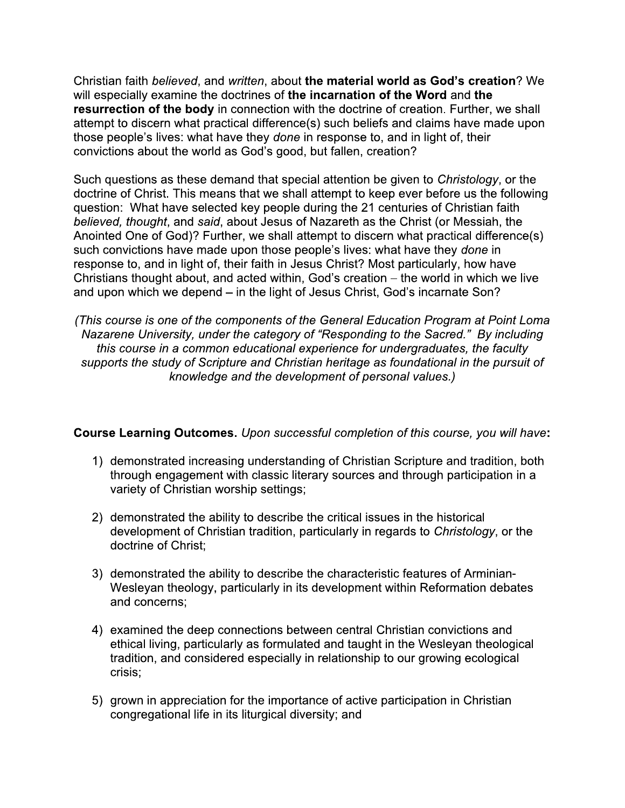Christian faith believed, and written, about the material world as God's creation? We will especially examine the doctrines of the incarnation of the Word and the resurrection of the body in connection with the doctrine of creation. Further, we shall attempt to discern what practical difference(s) such beliefs and claims have made upon those people's lives: what have they done in response to, and in light of, their convictions about the world as God's good, but fallen, creation?

Such questions as these demand that special attention be given to Christology, or the doctrine of Christ. This means that we shall attempt to keep ever before us the following question: What have selected key people during the 21 centuries of Christian faith believed, thought, and said, about Jesus of Nazareth as the Christ (or Messiah, the Anointed One of God)? Further, we shall attempt to discern what practical difference(s) such convictions have made upon those people's lives: what have they done in response to, and in light of, their faith in Jesus Christ? Most particularly, how have Christians thought about, and acted within, God's creation - the world in which we live and upon which we depend – in the light of Jesus Christ, God's incarnate Son?

(This course is one of the components of the General Education Program at Point Loma Nazarene University, under the category of "Responding to the Sacred." By including this course in a common educational experience for undergraduates, the faculty supports the study of Scripture and Christian heritage as foundational in the pursuit of knowledge and the development of personal values.)

## Course Learning Outcomes. Upon successful completion of this course, you will have:

- 1) demonstrated increasing understanding of Christian Scripture and tradition, both through engagement with classic literary sources and through participation in a variety of Christian worship settings;
- 2) demonstrated the ability to describe the critical issues in the historical development of Christian tradition, particularly in regards to Christology, or the doctrine of Christ:
- 3) demonstrated the ability to describe the characteristic features of Arminian-Wesleyan theology, particularly in its development within Reformation debates and concerns:
- 4) examined the deep connections between central Christian convictions and ethical living, particularly as formulated and taught in the Wesleyan theological tradition, and considered especially in relationship to our growing ecological crisis;
- 5) grown in appreciation for the importance of active participation in Christian congregational life in its liturgical diversity; and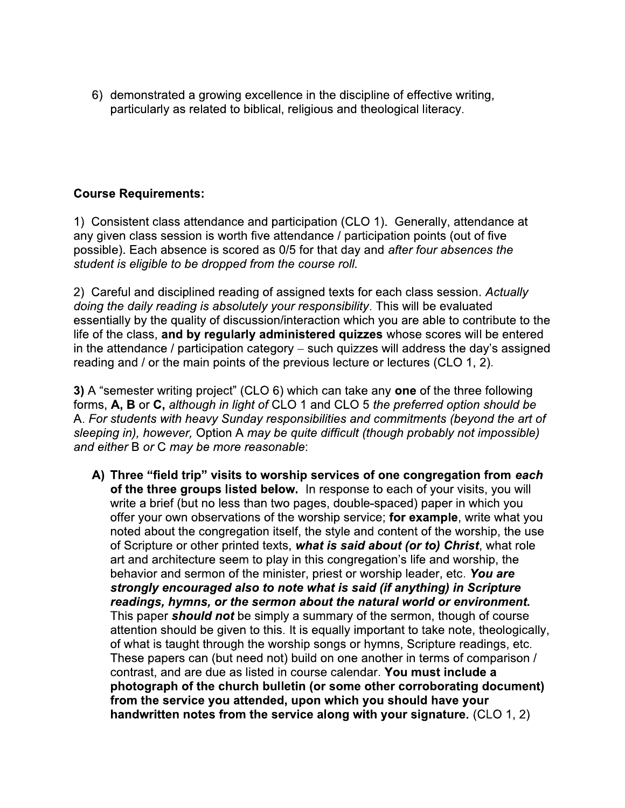6) demonstrated a growing excellence in the discipline of effective writing, particularly as related to biblical, religious and theological literacy.

## **Course Requirements:**

1) Consistent class attendance and participation (CLO 1). Generally, attendance at any given class session is worth five attendance / participation points (out of five possible). Each absence is scored as 0/5 for that day and after four absences the student is eligible to be dropped from the course roll.

2) Careful and disciplined reading of assigned texts for each class session. Actually doing the daily reading is absolutely your responsibility. This will be evaluated essentially by the quality of discussion/interaction which you are able to contribute to the life of the class, and by regularly administered quizzes whose scores will be entered in the attendance / participation category – such quizzes will address the day's assigned reading and / or the main points of the previous lecture or lectures (CLO 1, 2).

3) A "semester writing project" (CLO 6) which can take any one of the three following forms, A, B or C, although in light of CLO 1 and CLO 5 the preferred option should be A. For students with heavy Sunday responsibilities and commitments (beyond the art of sleeping in), however, Option A may be quite difficult (though probably not impossible) and either B or C may be more reasonable:

A) Three "field trip" visits to worship services of one congregation from each of the three groups listed below. In response to each of your visits, you will write a brief (but no less than two pages, double-spaced) paper in which you offer your own observations of the worship service; for example, write what you noted about the congregation itself, the style and content of the worship, the use of Scripture or other printed texts, what is said about (or to) Christ, what role art and architecture seem to play in this congregation's life and worship, the behavior and sermon of the minister, priest or worship leader, etc. You are strongly encouraged also to note what is said (if anything) in Scripture readings, hymns, or the sermon about the natural world or environment. This paper should not be simply a summary of the sermon, though of course attention should be given to this. It is equally important to take note, theologically, of what is taught through the worship songs or hymns, Scripture readings, etc. These papers can (but need not) build on one another in terms of comparison / contrast, and are due as listed in course calendar. You must include a photograph of the church bulletin (or some other corroborating document) from the service you attended, upon which you should have your handwritten notes from the service along with your signature. (CLO 1, 2)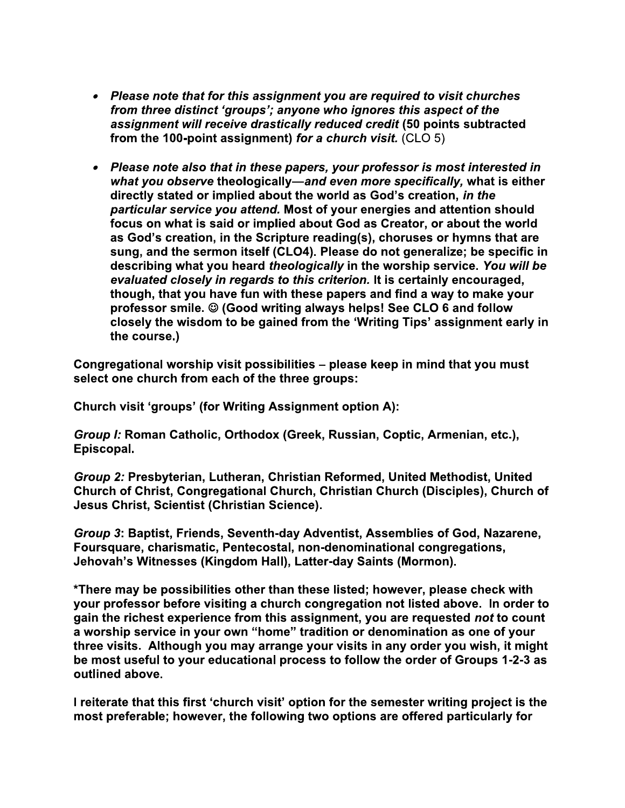- Please note that for this assignment you are required to visit churches from three distinct 'groups'; anyone who ignores this aspect of the assignment will receive drastically reduced credit (50 points subtracted from the 100-point assignment) for a church visit. (CLO 5)
- Please note also that in these papers, your professor is most interested in what you observe theologically—and even more specifically, what is either directly stated or implied about the world as God's creation, in the particular service you attend. Most of your energies and attention should focus on what is said or implied about God as Creator, or about the world as God's creation, in the Scripture reading(s), choruses or hymns that are sung, and the sermon itself (CLO4). Please do not generalize; be specific in describing what you heard theologically in the worship service. You will be evaluated closely in regards to this criterion. It is certainly encouraged, though, that you have fun with these papers and find a way to make your professor smile. © (Good writing always helps! See CLO 6 and follow closely the wisdom to be gained from the 'Writing Tips' assignment early in the course.)

Congregational worship visit possibilities - please keep in mind that you must select one church from each of the three groups:

Church visit 'groups' (for Writing Assignment option A):

Group I: Roman Catholic, Orthodox (Greek, Russian, Coptic, Armenian, etc.), Episcopal.

Group 2: Presbyterian, Lutheran, Christian Reformed, United Methodist, United Church of Christ, Congregational Church, Christian Church (Disciples), Church of Jesus Christ, Scientist (Christian Science).

Group 3: Baptist, Friends, Seventh-day Adventist, Assemblies of God, Nazarene, Foursquare, charismatic, Pentecostal, non-denominational congregations, Jehovah's Witnesses (Kingdom Hall), Latter-day Saints (Mormon).

\*There may be possibilities other than these listed; however, please check with your professor before visiting a church congregation not listed above. In order to gain the richest experience from this assignment, you are requested not to count a worship service in your own "home" tradition or denomination as one of your three visits. Although you may arrange your visits in any order you wish, it might be most useful to your educational process to follow the order of Groups 1-2-3 as outlined above.

I reiterate that this first 'church visit' option for the semester writing project is the most preferable; however, the following two options are offered particularly for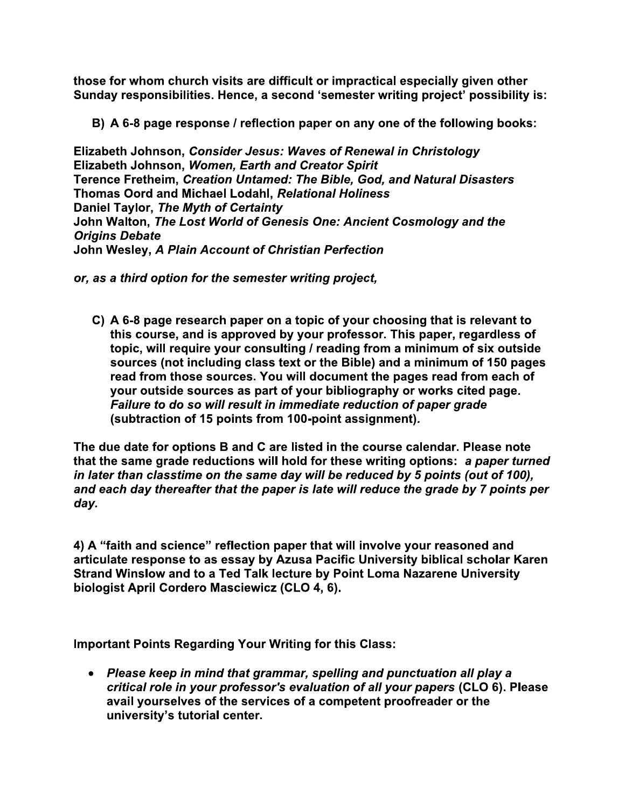those for whom church visits are difficult or impractical especially given other Sunday responsibilities. Hence, a second 'semester writing project' possibility is:

B) A 6-8 page response / reflection paper on any one of the following books:

Elizabeth Johnson, Consider Jesus: Waves of Renewal in Christology Elizabeth Johnson, Women, Earth and Creator Spirit Terence Fretheim, Creation Untamed: The Bible, God, and Natural Disasters Thomas Oord and Michael Lodahl, Relational Holiness Daniel Taylor, The Myth of Certainty John Walton, The Lost World of Genesis One: Ancient Cosmology and the **Origins Debate** John Wesley, A Plain Account of Christian Perfection

or, as a third option for the semester writing project,

C) A 6-8 page research paper on a topic of your choosing that is relevant to this course, and is approved by your professor. This paper, regardless of topic, will require your consulting / reading from a minimum of six outside sources (not including class text or the Bible) and a minimum of 150 pages read from those sources. You will document the pages read from each of your outside sources as part of your bibliography or works cited page. Failure to do so will result in immediate reduction of paper grade (subtraction of 15 points from 100-point assignment).

The due date for options B and C are listed in the course calendar. Please note that the same grade reductions will hold for these writing options: a paper turned in later than classtime on the same day will be reduced by 5 points (out of 100), and each day thereafter that the paper is late will reduce the grade by 7 points per day.

4) A "faith and science" reflection paper that will involve your reasoned and articulate response to as essay by Azusa Pacific University biblical scholar Karen Strand Winslow and to a Ted Talk lecture by Point Loma Nazarene University biologist April Cordero Masciewicz (CLO 4, 6).

**Important Points Regarding Your Writing for this Class:** 

• Please keep in mind that grammar, spelling and punctuation all play a critical role in your professor's evaluation of all your papers (CLO 6). Please avail yourselves of the services of a competent proofreader or the university's tutorial center.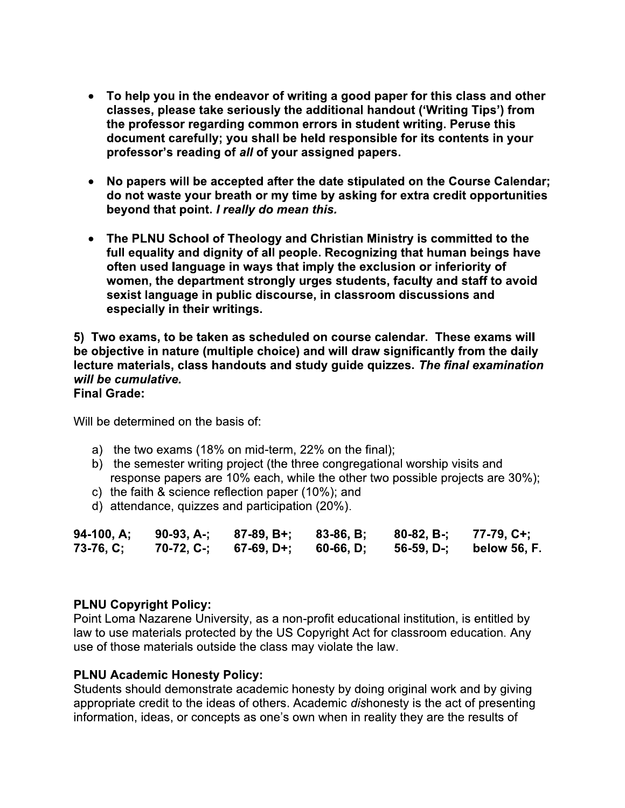- To help you in the endeavor of writing a good paper for this class and other classes, please take seriously the additional handout ('Writing Tips') from the professor regarding common errors in student writing. Peruse this document carefully; you shall be held responsible for its contents in your professor's reading of all of your assigned papers.
- No papers will be accepted after the date stipulated on the Course Calendar; do not waste your breath or my time by asking for extra credit opportunities beyond that point. I really do mean this.
- The PLNU School of Theology and Christian Ministry is committed to the  $\bullet$ full equality and dignity of all people. Recognizing that human beings have often used language in ways that imply the exclusion or inferiority of women, the department strongly urges students, faculty and staff to avoid sexist language in public discourse, in classroom discussions and especially in their writings.

5) Two exams, to be taken as scheduled on course calendar. These exams will be objective in nature (multiple choice) and will draw significantly from the daily lecture materials, class handouts and study guide quizzes. The final examination will be cumulative. **Final Grade:** 

Will be determined on the basis of:

- a) the two exams (18% on mid-term, 22% on the final);
- b) the semester writing project (the three congregational worship visits and response papers are 10% each, while the other two possible projects are 30%);
- c) the faith & science reflection paper (10%); and
- d) attendance, quizzes and participation (20%).

| 94-100, A;  | 90-93, A-: | 87-89, B+; | 83-86, B: | 80-82, B-: | 77-79, C+:   |
|-------------|------------|------------|-----------|------------|--------------|
| $73-76, C;$ | 70-72, C-; | 67-69, D+: | 60-66, D; | 56-59, D-: | below 56, F. |

#### **PLNU Copyright Policy:**

Point Loma Nazarene University, as a non-profit educational institution, is entitled by law to use materials protected by the US Copyright Act for classroom education. Any use of those materials outside the class may violate the law.

#### **PLNU Academic Honesty Policy:**

Students should demonstrate academic honesty by doing original work and by giving appropriate credit to the ideas of others. Academic dishonesty is the act of presenting information, ideas, or concepts as one's own when in reality they are the results of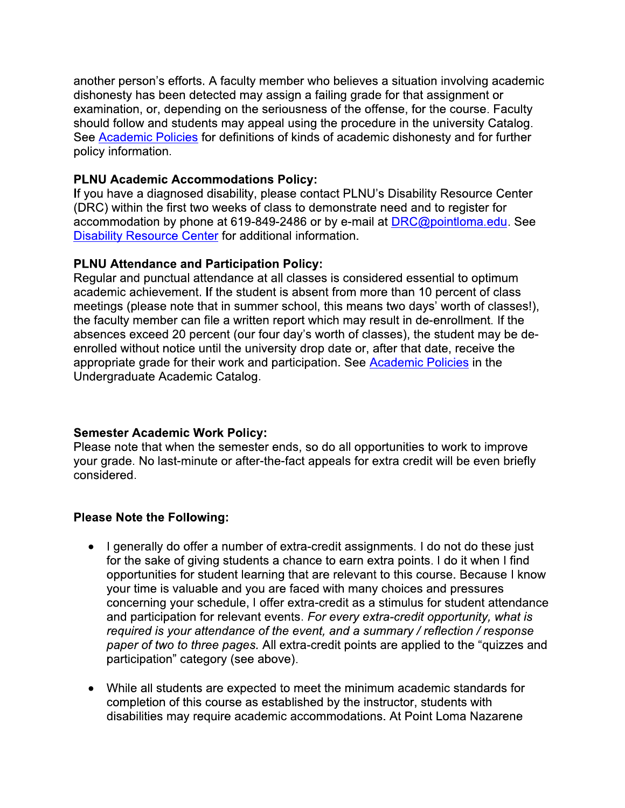another person's efforts. A faculty member who believes a situation involving academic dishonesty has been detected may assign a failing grade for that assignment or examination, or, depending on the seriousness of the offense, for the course. Faculty should follow and students may appeal using the procedure in the university Catalog. See Academic Policies for definitions of kinds of academic dishonesty and for further policy information.

# **PLNU Academic Accommodations Policy:**

If you have a diagnosed disability, please contact PLNU's Disability Resource Center (DRC) within the first two weeks of class to demonstrate need and to register for accommodation by phone at 619-849-2486 or by e-mail at DRC@pointloma.edu. See Disability Resource Center for additional information.

## **PLNU Attendance and Participation Policy:**

Regular and punctual attendance at all classes is considered essential to optimum academic achievement. If the student is absent from more than 10 percent of class meetings (please note that in summer school, this means two days' worth of classes!), the faculty member can file a written report which may result in de-enrollment. If the absences exceed 20 percent (our four day's worth of classes), the student may be deenrolled without notice until the university drop date or, after that date, receive the appropriate grade for their work and participation. See Academic Policies in the Undergraduate Academic Catalog.

## **Semester Academic Work Policy:**

Please note that when the semester ends, so do all opportunities to work to improve your grade. No last-minute or after-the-fact appeals for extra credit will be even briefly considered.

# **Please Note the Following:**

- I generally do offer a number of extra-credit assignments. I do not do these just for the sake of giving students a chance to earn extra points. I do it when I find opportunities for student learning that are relevant to this course. Because I know your time is valuable and you are faced with many choices and pressures concerning your schedule, I offer extra-credit as a stimulus for student attendance and participation for relevant events. For every extra-credit opportunity, what is required is your attendance of the event, and a summary / reflection / response paper of two to three pages. All extra-credit points are applied to the "quizzes and participation" category (see above).
- While all students are expected to meet the minimum academic standards for  $\bullet$ completion of this course as established by the instructor, students with disabilities may require academic accommodations. At Point Loma Nazarene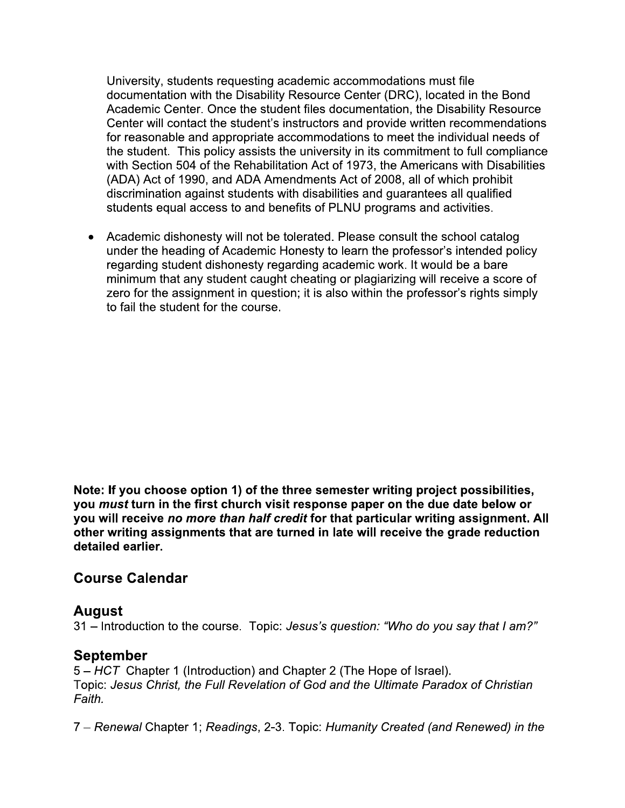University, students requesting academic accommodations must file documentation with the Disability Resource Center (DRC), located in the Bond Academic Center. Once the student files documentation, the Disability Resource Center will contact the student's instructors and provide written recommendations for reasonable and appropriate accommodations to meet the individual needs of the student. This policy assists the university in its commitment to full compliance with Section 504 of the Rehabilitation Act of 1973, the Americans with Disabilities (ADA) Act of 1990, and ADA Amendments Act of 2008, all of which prohibit discrimination against students with disabilities and guarantees all qualified students equal access to and benefits of PLNU programs and activities.

Academic dishonesty will not be tolerated. Please consult the school catalog under the heading of Academic Honesty to learn the professor's intended policy regarding student dishonesty regarding academic work. It would be a bare minimum that any student caught cheating or plagiarizing will receive a score of zero for the assignment in question; it is also within the professor's rights simply to fail the student for the course.

Note: If you choose option 1) of the three semester writing project possibilities, you must turn in the first church visit response paper on the due date below or you will receive no more than half credit for that particular writing assignment. All other writing assignments that are turned in late will receive the grade reduction detailed earlier.

# **Course Calendar**

# **August**

31 – Introduction to the course. Topic: Jesus's question: "Who do you say that I am?"

# **September**

5 – HCT Chapter 1 (Introduction) and Chapter 2 (The Hope of Israel). Topic: Jesus Christ, the Full Revelation of God and the Ultimate Paradox of Christian Faith.

7 – Renewal Chapter 1; Readings, 2-3. Topic: Humanity Created (and Renewed) in the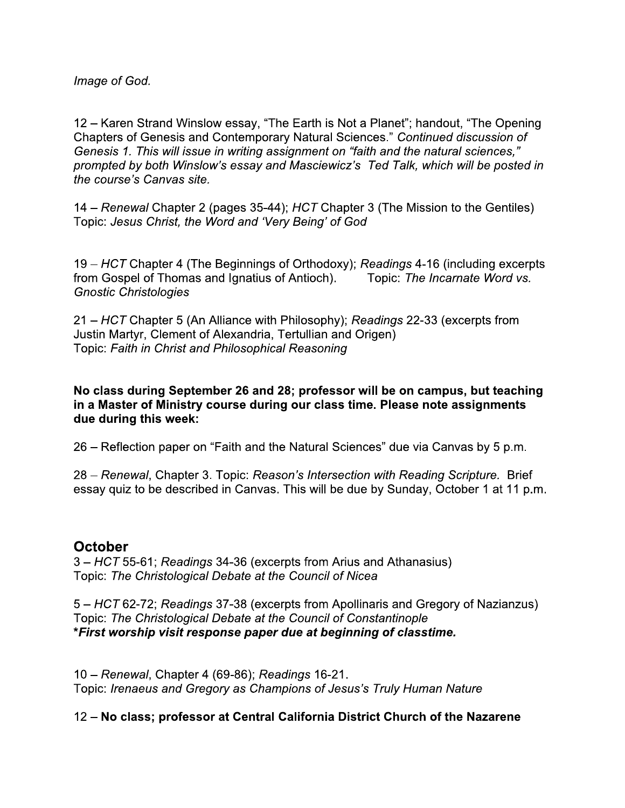Image of God.

12 - Karen Strand Winslow essay, "The Earth is Not a Planet"; handout, "The Opening Chapters of Genesis and Contemporary Natural Sciences." Continued discussion of Genesis 1. This will issue in writing assignment on "faith and the natural sciences," prompted by both Winslow's essay and Masciewicz's Ted Talk, which will be posted in the course's Canvas site.

14 – Renewal Chapter 2 (pages 35-44); HCT Chapter 3 (The Mission to the Gentiles) Topic: Jesus Christ, the Word and 'Very Being' of God

19 – HCT Chapter 4 (The Beginnings of Orthodoxy); Readings 4-16 (including excerpts Topic: The Incarnate Word vs. from Gospel of Thomas and Ignatius of Antioch). **Gnostic Christologies** 

21 – HCT Chapter 5 (An Alliance with Philosophy); Readings 22-33 (excerpts from Justin Martyr, Clement of Alexandria, Tertullian and Origen) Topic: Faith in Christ and Philosophical Reasoning

No class during September 26 and 28; professor will be on campus, but teaching in a Master of Ministry course during our class time. Please note assignments due during this week:

26 – Reflection paper on "Faith and the Natural Sciences" due via Canvas by 5 p.m.

28 – Renewal, Chapter 3. Topic: Reason's Intersection with Reading Scripture. Brief essay quiz to be described in Canvas. This will be due by Sunday, October 1 at 11 p.m.

# **October**

3 - HCT 55-61; Readings 34-36 (excerpts from Arius and Athanasius) Topic: The Christological Debate at the Council of Nicea

5 – HCT 62-72; Readings 37-38 (excerpts from Apollinaris and Gregory of Nazianzus) Topic: The Christological Debate at the Council of Constantinople \*First worship visit response paper due at beginning of classtime.

10 - Renewal, Chapter 4 (69-86); Readings 16-21. Topic: Irenaeus and Gregory as Champions of Jesus's Truly Human Nature

# 12 – No class; professor at Central California District Church of the Nazarene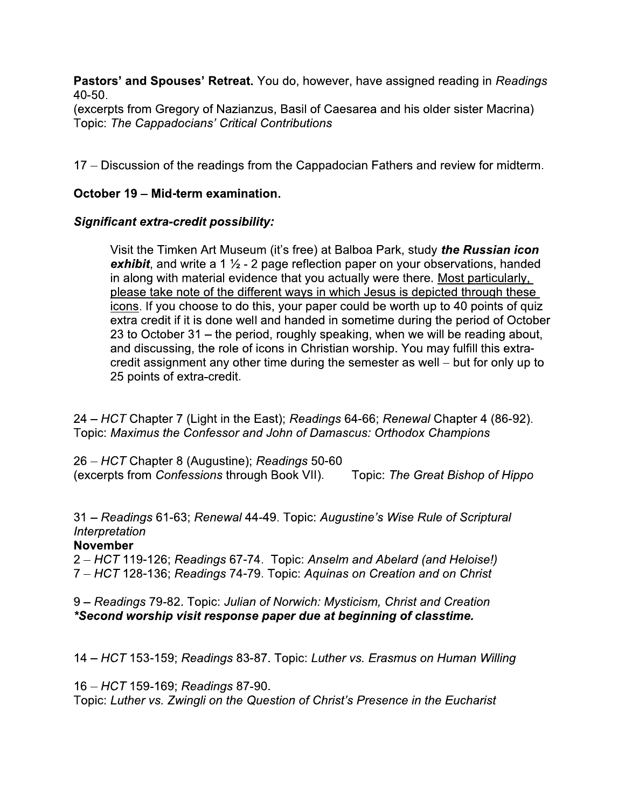Pastors' and Spouses' Retreat. You do, however, have assigned reading in Readings 40-50.

(excerpts from Gregory of Nazianzus, Basil of Caesarea and his older sister Macrina) Topic: The Cappadocians' Critical Contributions

17 – Discussion of the readings from the Cappadocian Fathers and review for midterm.

## October 19 – Mid-term examination.

## **Significant extra-credit possibility:**

Visit the Timken Art Museum (it's free) at Balboa Park, study *the Russian icon* exhibit, and write a 1  $\frac{1}{2}$  - 2 page reflection paper on your observations, handed in along with material evidence that you actually were there. Most particularly, please take note of the different ways in which Jesus is depicted through these icons. If you choose to do this, your paper could be worth up to 40 points of quiz extra credit if it is done well and handed in sometime during the period of October 23 to October 31 – the period, roughly speaking, when we will be reading about, and discussing, the role of icons in Christian worship. You may fulfill this extracredit assignment any other time during the semester as well – but for only up to 25 points of extra-credit.

24 – HCT Chapter 7 (Light in the East); Readings 64-66; Renewal Chapter 4 (86-92). Topic: Maximus the Confessor and John of Damascus: Orthodox Champions

26 – HCT Chapter 8 (Augustine); Readings 50-60 (excerpts from Confessions through Book VII). Topic: The Great Bishop of Hippo

31 – Readings 61-63; Renewal 44-49. Topic: Augustine's Wise Rule of Scriptural Interpretation

## **November**

2 – HCT 119-126; Readings 67-74. Topic: Anselm and Abelard (and Heloise!) 7 – HCT 128-136; Readings 74-79. Topic: Aguinas on Creation and on Christ

9 – Readings 79-82. Topic: Julian of Norwich: Mysticism, Christ and Creation \*Second worship visit response paper due at beginning of classtime.

14 – HCT 153-159; Readings 83-87. Topic: Luther vs. Erasmus on Human Willing

16 – HCT 159-169; Readings 87-90.

Topic: Luther vs. Zwingli on the Question of Christ's Presence in the Eucharist